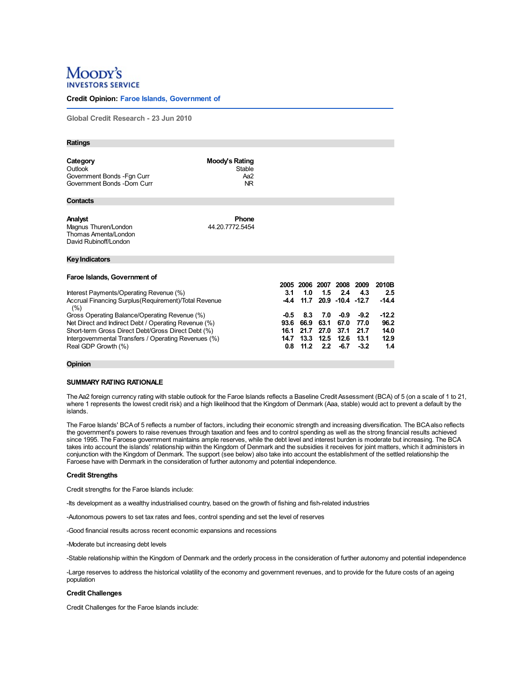# Moopy's **SERVICE**

## **Credit Opinion: Faroe Islands, Government of**

**Global Credit Research - 23 Jun 2010**

| <b>Ratings</b>                                                                   |                                        |        |      |      |                          |        |         |
|----------------------------------------------------------------------------------|----------------------------------------|--------|------|------|--------------------------|--------|---------|
|                                                                                  |                                        |        |      |      |                          |        |         |
| Category<br>Outlook<br>Government Bonds - Fgn Curr<br>Government Bonds -Dom Curr | Moody's Rating<br>Stable<br>Aa2<br>NR. |        |      |      |                          |        |         |
| <b>Contacts</b>                                                                  |                                        |        |      |      |                          |        |         |
|                                                                                  |                                        |        |      |      |                          |        |         |
| Analyst<br>Magnus Thuren/London<br>Thomas Amenta/London<br>David Rubinoff/London | <b>Phone</b><br>44.20.7772.5454        |        |      |      |                          |        |         |
| Key Indicators                                                                   |                                        |        |      |      |                          |        |         |
|                                                                                  |                                        |        |      |      |                          |        |         |
| Faroe Islands, Government of                                                     |                                        |        |      |      |                          |        |         |
|                                                                                  |                                        |        |      |      | 2005 2006 2007 2008 2009 |        | 2010B   |
| Interest Payments/Operating Revenue (%)                                          |                                        | 3.1    | 1.0  | 1.5  | 2.4                      | 43     | 2.5     |
| Accrual Financing Surplus (Requirement)/Total Revenue<br>(%)                     |                                        | $-4.4$ | 11.7 |      | 20.9 -10.4 -12.7         |        | $-14.4$ |
| Gross Operating Balance/Operating Revenue (%)                                    |                                        | $-0.5$ | 8.3  | 7.0  | $-0.9$                   | $-9.2$ | $-12.2$ |
| Net Direct and Indirect Debt / Operating Revenue (%)                             |                                        | 93.6   | 66.9 | 63.1 | 67.0                     | 77.0   | 96.2    |
| Short-term Gross Direct Debt/Gross Direct Debt (%)                               |                                        | 16.1   | 21.7 | 27.0 | 37.1                     | 21.7   | 14.0    |
| Intergovernmental Transfers / Operating Revenues (%)                             |                                        | 14.7   | 13.3 | 12.5 | 12.6                     | 13.1   | 12.9    |
| Real GDP Growth (%)                                                              |                                        | 0.8    | 11.2 | 2.2  | $-6.7$                   | $-3.2$ | 1.4     |
|                                                                                  |                                        |        |      |      |                          |        |         |
| .                                                                                |                                        |        |      |      |                          |        |         |

## **Opinion**

## **SUMMARY RATING RATIONALE**

The Aa2 foreign currency rating with stable outlook for the Faroe Islands reflects a Baseline Credit Assessment (BCA) of 5 (on a scale of 1 to 21, where 1 represents the lowest credit risk) and a high likelihood that the Kingdom of Denmark (Aaa, stable) would act to prevent a default by the islands.

The Faroe Islands' BCAof 5 reflects a number of factors, including their economic strength and increasing diversification. The BCAalso reflects the government's powers to raise revenues through taxation and fees and to control spending as well as the strong financial results achieved since 1995. The Faroese government maintains ample reserves, while the debt level and interest burden is moderate but increasing. The BCA takes into account the islands' relationship within the Kingdom of Denmark and the subsidies it receives for joint matters, which it administers in conjunction with the Kingdom of Denmark. The support (see below) also take into account the establishment of the settled relationship the Faroese have with Denmark in the consideration of further autonomy and potential independence.

#### **Credit Strengths**

Credit strengths for the Faroe Islands include:

-Its development as a wealthy industrialised country, based on the growth of fishing and fish-related industries

-Autonomous powers to set tax rates and fees, control spending and set the level of reserves

-Good financial results across recent economic expansions and recessions

-Moderate but increasing debt levels

-Stable relationship within the Kingdom of Denmark and the orderly process in the consideration of further autonomy and potential independence

-Large reserves to address the historical volatility of the economy and government revenues, and to provide for the future costs of an ageing population

#### **Credit Challenges**

Credit Challenges for the Faroe Islands include: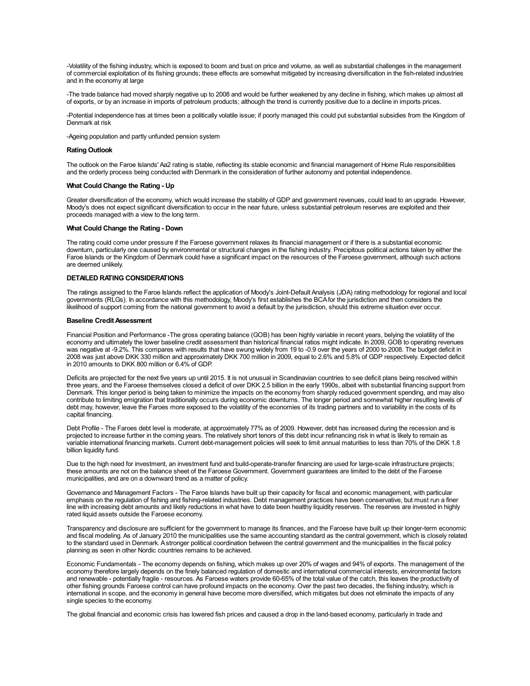-Volatility of the fishing industry, which is exposed to boom and bust on price and volume, as well as substantial challenges in the management of commercial exploitation of its fishing grounds; these effects are somewhat mitigated by increasing diversification in the fish-related industries and in the economy at large

-The trade balance had moved sharply negative up to 2008 and would be further weakened by any decline in fishing, which makes up almost all of exports, or by an increase in imports of petroleum products; although the trend is currently positive due to a decline in imports prices.

-Potential independence has at times been a politically volatile issue; if poorly managed this could put substantial subsidies from the Kingdom of Denmark at risk

-Ageing population and partly unfunded pension system

#### **Rating Outlook**

The outlook on the Faroe Islands' Aa2 rating is stable, reflecting its stable economic and financial management of Home Rule responsibilities and the orderly process being conducted with Denmark in the consideration of further autonomy and potential independence.

### **What Could Change the Rating - Up**

Greater diversification of the economy, which would increase the stability of GDP and government revenues, could lead to an upgrade. However,<br>Moody's does not expect significant diversification to occur in the near future, proceeds managed with a view to the long term.

#### **What Could Change the Rating - Down**

The rating could come under pressure if the Faroese government relaxes its financial management or if there is a substantial economic downturn, particularly one caused by environmental or structural changes in the fishing industry. Precipitous political actions taken by either the Faroe Islands or the Kingdom of Denmark could have a significant impact on the resources of the Faroese government, although such actions are deemed unlikely.

#### **DETAILED RATING CONSIDERATIONS**

The ratings assigned to the Faroe Islands reflect the application of Moody's Joint-Default Analysis (JDA) rating methodology for regional and local governments (RLGs). In accordance with this methodology, Moody's first establishes the BCAfor the jurisdiction and then considers the likelihood of support coming from the national government to avoid a default by the jurisdiction, should this extreme situation ever occur.

#### **Baseline CreditAssessment**

Financial Position and Performance -The gross operating balance (GOB) has been highly variable in recent years, belying the volatility of the economy and ultimately the lower baseline credit assessment than historical financial ratios might indicate. In 2009, GOB to operating revenues was negative at -9.2%. This compares with results that have swung widely from 19 to -0.9 over the years of 2000 to 2008. The budget deficit in 2008 was just above DKK 330 million and approximately DKK 700 million in 2009, equal to 2.6% and 5.8% of GDP respectively. Expected deficit in 2010 amounts to DKK 800 million or 6.4% of GDP.

Deficits are projected for the next five years up until 2015. It is not unusual in Scandinavian countries to see deficit plans being resolved within three years, and the Faroese themselves closed a deficit of over DKK 2.5 billion in the early 1990s, albeit with substantial financing support from Denmark. This longer period is being taken to minimize the impacts on the economy from sharply reduced government spending, and may also contribute to limiting emigration that traditionally occurs during economic downturns. The longer period and somewhat higher resulting levels of debt may, however, leave the Faroes more exposed to the volatility of the economies of its trading partners and to variability in the costs of its capital financing.

Debt Profile - The Faroes debt level is moderate, at approximately 77% as of 2009. However, debt has increased during the recession and is projected to increase further in the coming years. The relatively short tenors of this debt incur refinancing risk in what is likely to remain as variable international financing markets. Current debt-management policies will seek to limit annual maturities to less than 70% of the DKK 1.8 billion liquidity fund.

Due to the high need for investment, an investment fund and build-operate-transfer financing are used for large-scale infrastructure projects; these amounts are not on the balance sheet of the Faroese Government. Government guarantees are limited to the debt of the Faroese municipalities, and are on <sup>a</sup> downward trend as <sup>a</sup> matter of policy.

Governance and Management Factors - The Faroe Islands have built up their capacity for fiscal and economic management, with particular emphasis on the regulation of fishing and fishing-related industries. Debt management practices have been conservative, but must run a finer line with increasing debt amounts and likely reductions in what have to date been healthy liquidity reserves. The reserves are invested in highly rated liquid assets outside the Faroese economy.

Transparency and disclosure are sufficient for the government to manage its finances, and the Faroese have built up their longer-term economic and fiscal modeling. As of January 2010 the municipalities use the same accounting standard as the central government, which is closely related to the standard used in Denmark. Astronger political coordination between the central government and the municipalities in the fiscal policy planning as seen in other Nordic countries remains to be achieved.

Economic Fundamentals - The economy depends on fishing, which makes up over 20% of wages and 94% of exports. The management of the economy therefore largely depends on the finely balanced regulation of domestic and international commercial interests, environmental factors and renewable - potentially fragile - resources. As Faroese waters provide 60-65% of the total value of the catch, this leaves the productivity of other fishing grounds Faroese control can have profound impacts on the economy. Over the past two decades, the fishing industry, which is international in scope, and the economy in general have become more diversified, which mitigates but does not eliminate the impacts of any single species to the economy.

The global financial and economic crisis has lowered fish prices and caused a drop in the land-based economy, particularly in trade and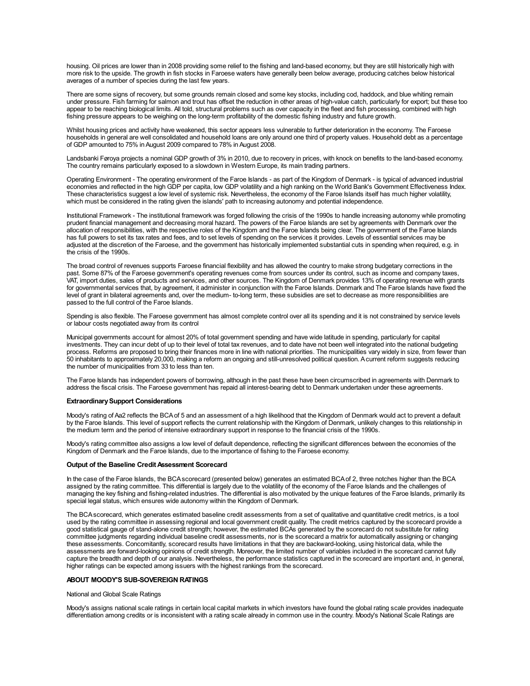housing. Oil prices are lower than in 2008 providing some relief to the fishing and land-based economy, but they are still historically high with more risk to the upside. The growth in fish stocks in Faroese waters have generally been below average, producing catches below historical averages of a number of species during the last few years.

There are some signs of recovery, but some grounds remain closed and some key stocks, including cod, haddock, and blue whiting remain under pressure. Fish farming for salmon and trout has offset the reduction in other areas of high-value catch, particularly for export; but these too appear to be reaching biological limits. All told, structural problems such as over capacity in the fleet and fish processing, combined with high fishing pressure appears to be weighing on the long-term profitability of the domestic fishing industry and future growth.

Whilst housing prices and activity have weakened, this sector appears less vulnerable to further deterioration in the economy. The Faroese households in general are well consolidated and household loans are only around one third of property values. Household debt as a percentage of GDP amounted to 75% in August 2009 compared to 78% in August 2008.

Landsbanki Føroya projects a nominal GDP growth of 3% in 2010, due to recovery in prices, with knock on benefits to the land-based economy. The country remains particularly exposed to a slowdown in Western Europe, its main trading partners.

Operating Environment - The operating environment of the Faroe Islands - as part of the Kingdom of Denmark - is typical of advanced industrial economies and reflected in the high GDP per capita, low GDP volatility and a high ranking on the World Bank's Government Effectiveness Index. These characteristics suggest a low level of systemic risk. Nevertheless, the economy of the Faroe Islands itself has much higher volatility, which must be considered in the rating given the islands' path to increasing autonomy and potential independence.

Institutional Framework - The institutional framework was forged following the crisis of the 1990s to handle increasing autonomy while promoting prudent financial management and decreasing moral hazard. The powers of the Faroe Islands are set by agreements with Denmark over the allocation of responsibilities, with the respective roles of the Kingdom and the Faroe Islands being clear. The government of the Faroe Islands has full powers to set its tax rates and fees, and to set levels of spending on the services it provides. Levels of essential services may be adjusted at the discretion of the Faroese, and the government has historically implemented substantial cuts in spending when required, e.g. in the crisis of the 1990s.

The broad control of revenues supports Faroese financial flexibility and has allowed the country to make strong budgetary corrections in the past. Some 87% of the Faroese government's operating revenues come from sources under its control, such as income and company taxes, VAT, import duties, sales of products and services, and other sources. The Kingdom of Denmark provides 13% of operating revenue with grants for governmental services that, by agreement, it administer in conjunction with the Faroe Islands. Denmark and The Faroe Islands have fixed the level of grant in bilateral agreements and, over the medium- to-long term, these subsidies are set to decrease as more responsibilities are passed to the full control of the Faroe Islands.

Spending is also flexible. The Faroese government has almost complete control over all its spending and it is not constrained by service levels or labour costs negotiated away from its control

Municipal governments account for almost 20% of total government spending and have wide latitude in spending, particularly for capital investments. They can incur debt of up to their level of total tax revenues, and to date have not been well integrated into the national budgeting process. Reforms are proposed to bring their finances more in line with national priorities. The municipalities vary widely in size, from fewer than 50 inhabitants to approximately 20,000, making a reform an ongoing and still-unresolved political question. Acurrent reform suggests reducing the number of municipalities from 33 to less than ten.

The Faroe Islands has independent powers of borrowing, although in the past these have been circumscribed in agreements with Denmark to address the fiscal crisis. The Faroese government has repaid all interest-bearing debt to Denmark undertaken under these agreements.

#### **Extraordinary Support Considerations**

Moody's rating of Aa2 reflects the BCAof 5 and an assessment of a high likelihood that the Kingdom of Denmark would act to prevent a default by the Faroe Islands. This level of support reflects the current relationship with the Kingdom of Denmark, unlikely changes to this relationship in the medium term and the period of intensive extraordinary support in response to the financial crisis of the 1990s.

Moody's rating committee also assigns a low level of default dependence, reflecting the significant differences between the economies of the Kingdom of Denmark and the Faroe Islands, due to the importance of fishing to the Faroese economy.

#### **Output of the Baseline CreditAssessment Scorecard**

In the case of the Faroe Islands, the BCA scorecard (presented below) generates an estimated BCA of 2, three notches higher than the BCA assigned by the rating committee. This differential is largely due to the volatility managing the key fishing and fishing-related industries. The differential is also motivated by the unique features of the Faroe Islands, primarily its special legal status, which ensures wide autonomy within the Kingdom of Denmark.

The BCAscorecard, which generates estimated baseline credit assessments from a set of qualitative and quantitative credit metrics, is a tool used by the rating committee in assessing regional and local government credit quality. The credit metrics captured by the scorecard provide a good statistical gauge of stand-alone credit strength; however, the estimated BCAs generated by the scorecard do not substitute for rating committee judgments regarding individual baseline credit assessments, nor is the scorecard a matrix for automatically assigning or changing these assessments. Concomitantly, scorecard results have limitations in that they are backward-looking, using historical data, while the assessments are forward-looking opinions of credit strength. Moreover, the limited number of variables included in the scorecard cannot fully capture the breadth and depth of our analysis. Nevertheless, the performance statistics captured in the scorecard are important and, in general, higher ratings can be expected among issuers with the highest rankings from the scorecard.

#### **ABOUT MOODY'S SUB-SOVEREIGN RATINGS**

National and Global Scale Ratings

Moody's assigns national scale ratings in certain local capital markets in which investors have found the global rating scale provides inadequate differentiation among credits or is inconsistent with a rating scale already in common use in the country. Moody's National Scale Ratings are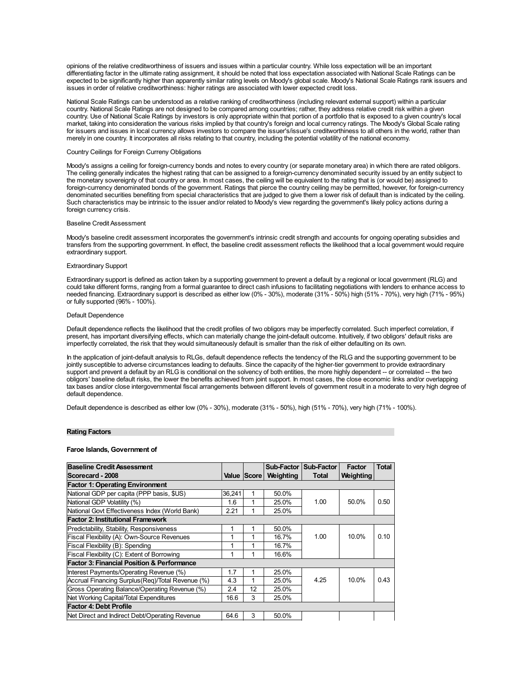opinions of the relative creditworthiness of issuers and issues within a particular country. While loss expectation will be an important differentiating factor in the ultimate rating assignment, it should be noted that loss expectation associated with National Scale Ratings can be expected to be significantly higher than apparently similar rating levels on Moody's global scale. Moody's National Scale Ratings rank issuers and issues in order of relative creditworthiness: higher ratings are associated with lower expected credit loss.

National Scale Ratings can be understood as a relative ranking of creditworthiness (including relevant external support) within a particular country. National Scale Ratings are not designed to be compared among countries; rather, they address relative credit risk within a given country. Use of National Scale Ratings by investors is only appropriate within that portion of a portfolio that is exposed to a given country's local market, taking into consideration the various risks implied by that country's foreign and local currency ratings. The Moody's Global Scale rating for issuers and issues in local currency allows investors to compare the issuer's/issue's creditworthiness to all others in the world, rather than merely in one country. It incorporates all risks relating to that country, including the potential volatility of the national economy.

#### Country Ceilings for Foreign Curreny Obligations

Moody's assigns a ceiling for foreign-currency bonds and notes to every country (or separate monetary area) in which there are rated obligors. The ceiling generally indicates the highest rating that can be assigned to a foreign-currency denominated security issued by an entity subject to the monetary sovereignty of that country or area. In most cases, the ceiling will be equivalent to the rating that is (or would be) assigned to foreign-currency denominated bonds of the government. Ratings that pierce the country ceiling may be permitted, however, for foreign-currency denominated securities benefiting from special characteristics that are judged to give them a lower risk of default than is indicated by the ceiling. Such characteristics may be intrinsic to the issuer and/or related to Moody's view regarding the government's likely policy actions during a foreign currency crisis.

#### Baseline Credit Assessment

Moody's baseline credit assessment incorporates the government's intrinsic credit strength and accounts for ongoing operating subsidies and transfers from the supporting government. In effect, the baseline credit assessment reflects the likelihood that a local government would require extraordinary support.

#### Extraordinary Support

Extraordinary support is defined as action taken by a supporting government to prevent a default by a regional or local government (RLG) and could take different forms, ranging from a formal guarantee to direct cash infusions to facilitating negotiations with lenders to enhance access to needed financing. Extraordinary support is described as either low (0% - 30%), moderate (31% - 50%) high (51% -70%), very high (71% -95%) or fully supported (96% - 100%).

#### Default Dependence

Default dependence reflects the likelihood that the credit profiles of two obligors may be imperfectly correlated. Such imperfect correlation, if present, has important diversifying effects, which can materially change the joint-default outcome. Intuitively, if two obligors' default risks are imperfectly correlated, the risk that they would simultaneously default is smaller than the risk of either defaulting on its own.

In the application of joint-default analysis to RLGs, default dependence reflects the tendency of the RLG and the supporting government to be jointly susceptible to adverse circumstances leading to defaults. Since the capacity of the higher-tier government to provide extraordinary support and prevent a default by an RLG is conditional on the solvency of both entities, the more highly dependent -- or correlated -- the two obligors' baseline default risks, the lower the benefits achieved from joint support. In most cases, the close economic links and/or overlapping tax bases and/or close intergovernmental fiscal arrangements between different levels of government result in a moderate to very high degree of default dependence.

Default dependence is described as either low (0% - 30%), moderate (31% - 50%), high (51% - 70%), very high (71% - 100%).

#### **Rating Factors**

#### **Faroe Islands, Government of**

| <b>Baseline Credit Assessment</b>                     |        |    |                       | Sub-Factor   Sub-Factor | Factor           | <b>Total</b> |
|-------------------------------------------------------|--------|----|-----------------------|-------------------------|------------------|--------------|
| <b>Scorecard - 2008</b>                               |        |    | Value Score Weighting | Total                   | <b>Weighting</b> |              |
| <b>Factor 1: Operating Environment</b>                |        |    |                       |                         |                  |              |
| National GDP per capita (PPP basis, \$US)             | 36.241 | 1  | 50.0%                 |                         |                  |              |
| National GDP Volatility (%)                           | 1.6    | 1  | 25.0%                 | 1.00                    | 50.0%            | 0.50         |
| National Govt Effectiveness Index (World Bank)        | 2.21   | 1  | 25.0%                 |                         |                  |              |
| <b>Factor 2: Institutional Framework</b>              |        |    |                       |                         |                  |              |
| <b>Predictability, Stability, Responsiveness</b>      |        | 1  | 50.0%                 |                         |                  |              |
| Fiscal Flexibility (A): Own-Source Revenues           | 1      | 1  | 16.7%                 | 1.00                    | 10.0%            | 0.10         |
| Fiscal Flexibility (B): Spending                      | 1      | 1  | 16.7%                 |                         |                  |              |
| Fiscal Flexibility (C): Extent of Borrowing           | 1      | 1  | 16.6%                 |                         |                  |              |
| <b>Factor 3: Financial Position &amp; Performance</b> |        |    |                       |                         |                  |              |
| Interest Payments/Operating Revenue (%)               | 1.7    | 1  | 25.0%                 |                         |                  |              |
| Accrual Financing Surplus (Reg)/Total Revenue (%)     | 4.3    | 1  | 25.0%                 | 4.25                    | 10.0%            | 0.43         |
| Gross Operating Balance/Operating Revenue (%)         | 2.4    | 12 | 25.0%                 |                         |                  |              |
| Net Working Capital/Total Expenditures                | 16.6   | 3  | 25.0%                 |                         |                  |              |
| <b>Factor 4: Debt Profile</b>                         |        |    |                       |                         |                  |              |
| Net Direct and Indirect Debt/Operating Revenue        | 64.6   | 3  | 50.0%                 |                         |                  |              |
|                                                       |        |    |                       |                         |                  |              |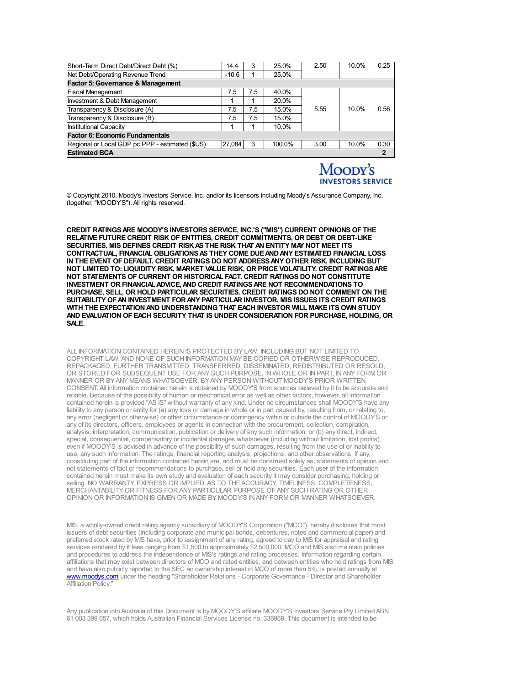| Short-Term Direct Debt/Direct Debt (%)          | 14.4    | 3   | 25.0%  | 2.50 | 10.0% | 0.25 |
|-------------------------------------------------|---------|-----|--------|------|-------|------|
| Net Debt/Operating Revenue Trend                | $-10.6$ |     | 25.0%  |      |       |      |
| <b>Factor 5: Governance &amp; Management</b>    |         |     |        |      |       |      |
| <b>Fiscal Management</b>                        | 7.5     | 7.5 | 40.0%  |      |       |      |
| <b>Investment &amp; Debt Management</b>         |         |     | 20.0%  |      |       |      |
| Transparency & Disclosure (A)                   | 7.5     | 7.5 | 15.0%  | 5.55 | 10.0% | 0.56 |
| Transparency & Disclosure (B)                   | 7.5     | 7.5 | 15.0%  |      |       |      |
| <b>Institutional Capacity</b>                   |         |     | 10.0%  |      |       |      |
| Factor 6: Economic Fundamentals                 |         |     |        |      |       |      |
| Regional or Local GDP pc PPP - estimated (\$US) | 27,084  | 3   | 100.0% | 3.00 | 10.0% | 0.30 |
| <b>Estimated BCA</b>                            |         |     |        |      |       | 2    |

## Moody's **INVESTORS SERVICE**

© Copyright 2010, Moody's Investors Service, Inc. and/or its licensors including Moody's Assurance Company, Inc. (together, "MOODY'S"). All rights reserved.

**CREDIT RATINGSARE MOODY'S INVESTORS SERVICE, INC.'S ("MIS") CURRENT OPINIONS OF THE RELATIVE FUTURE CREDIT RISK OF ENTITIES, CREDIT COMMITMENTS, OR DEBT OR DEBT-LIKE SECURITIES. MIS DEFINES CREDIT RISKAS THE RISK THAT AN ENTITY MAY NOT MEET ITS CONTRACTUAL, FINANCIAL OBLIGATIONSAS THEY COME DUEANDANY ESTIMATED FINANCIAL LOSS IN THE EVENT OF DEFAULT. CREDIT RATINGS DO NOT ADDRESSANY OTHER RISK, INCLUDING BUT NOT LIMITED TO: LIQUIDITY RISK, MARKET VALUE RISK, OR PRICE VOLATILITY. CREDIT RATINGSARE NOT STATEMENTS OF CURRENT OR HISTORICAL FACT. CREDIT RATINGS DO NOT CONSTITUTE INVESTMENT OR FINANCIALADVICE,AND CREDIT RATINGSARE NOT RECOMMENDATIONS TO PURCHASE, SELL, OR HOLD PARTICULAR SECURITIES. CREDIT RATINGS DO NOT COMMENT ON THE SUITABILITY OFAN INVESTMENT FORANY PARTICULAR INVESTOR. MIS ISSUES ITS CREDIT RATINGS WITH THE EXPECTATIONAND UNDERSTANDING THAT EACH INVESTOR WILL MAKE ITS OWN STUDY AND EVALUATION OF EACH SECURITY THAT IS UNDER CONSIDERATION FOR PURCHASE, HOLDING, OR SALE.**

ALL INFORMATION CONTAINED HEREIN IS PROTECTED BY LAW, INCLUDING BUT NOT LIMITED TO, COPYRIGHT LAW, AND NONE OF SUCH INFORMATION MAY BE COPIED OR OTHERWISE REPRODUCED, REPACKAGED, FURTHER TRANSMITTED, TRANSFERRED, DISSEMINATED, REDISTRIBUTED OR RESOLD, OR STORED FOR SUBSEQUENT USE FOR ANY SUCH PURPOSE, IN WHOLE OR IN PART, INANY FORMOR MANNER OR BYANY MEANS WHATSOEVER, BYANY PERSON WITHOUT MOODY'S PRIOR WRITTEN CONSENT. All information contained herein is obtained by MOODY'S from sources believed by it to be accurate and reliable. Because of the possibility of human or mechanical error as well as other factors, however, all information contained herein is provided "AS IS" without warranty of any kind. Under no circumstances shall MOODY'S have any liability to any person or entity for (a) any loss or damage in whole or in part caused by, resulting from, or relating to, any error (negligent or otherwise) or other circumstance or contingency within or outside the control of MOODY'S or any of its directors, officers, employees or agents in connection with the procurement, collection, compilation, analysis, interpretation, communication, publication or delivery of any such information, or (b) any direct, indirect, special, consequential, compensatory or incidental damages whatsoever (including without limitation, lost profits), even if MOODY'S is advised in advance of the possibility of such damages, resulting from the use of or inability to use, any such information. The ratings, financial reporting analysis, projections, and other observations, if any, constituting part of the information contained herein are, and must be construed solely as, statements of opinion and not statements of fact or recommendations to purchase, sell or hold any securities. Each user of the information contained herein must make its own study and [evaluation](http://www.moodys.com/) of each security it may consider purchasing, holding or<br>selling. NO WARRANTY, EXPRESS OR IMPLIED, AS TO THE ACCURACY, TIMELINESS, COMPLETENESS, MERCHANTABILITY OR FITNESS FOR ANY PARTICULAR PURPOSE OF ANY SUCH RATING OR OTHER OPINION OR INFORMATION IS GIVEN OR MADE BY MOODY'S INANY FORMOR MANNER WHATSOEVER.

MIS, a wholly-owned credit rating agency subsidiary of MOODY'S Corporation ("MCO"), hereby discloses that most issuers of debt securities (including corporate and municipal bonds, debentures, notes and commercial paper) and preferred stock rated by MIS have, prior to assignment of any rating, agreed to pay to MIS for appraisal and rating services rendered by it fees ranging from \$1,500 to approximately \$2,500,000. MCO and MIS also maintain policies and procedures to address the independence of MIS's ratings and rating processes. Information regarding certain affiliations that may exist between directors of MCO and rated entities, and between entities who hold ratings from MIS and have also publicly reported to the SEC an ownership interest in MCO of more than 5%, is posted annually at www.moodys.com under the heading "Shareholder Relations - Corporate Governance - Director and Shareholder Affiliation Policy."

Any publication into Australia of this Document is by MOODY'S affiliate MOODY'S Investors Service Pty Limited ABN 61 003 399 657, which holds Australian Financial Services License no. 336969. This document is intended to be